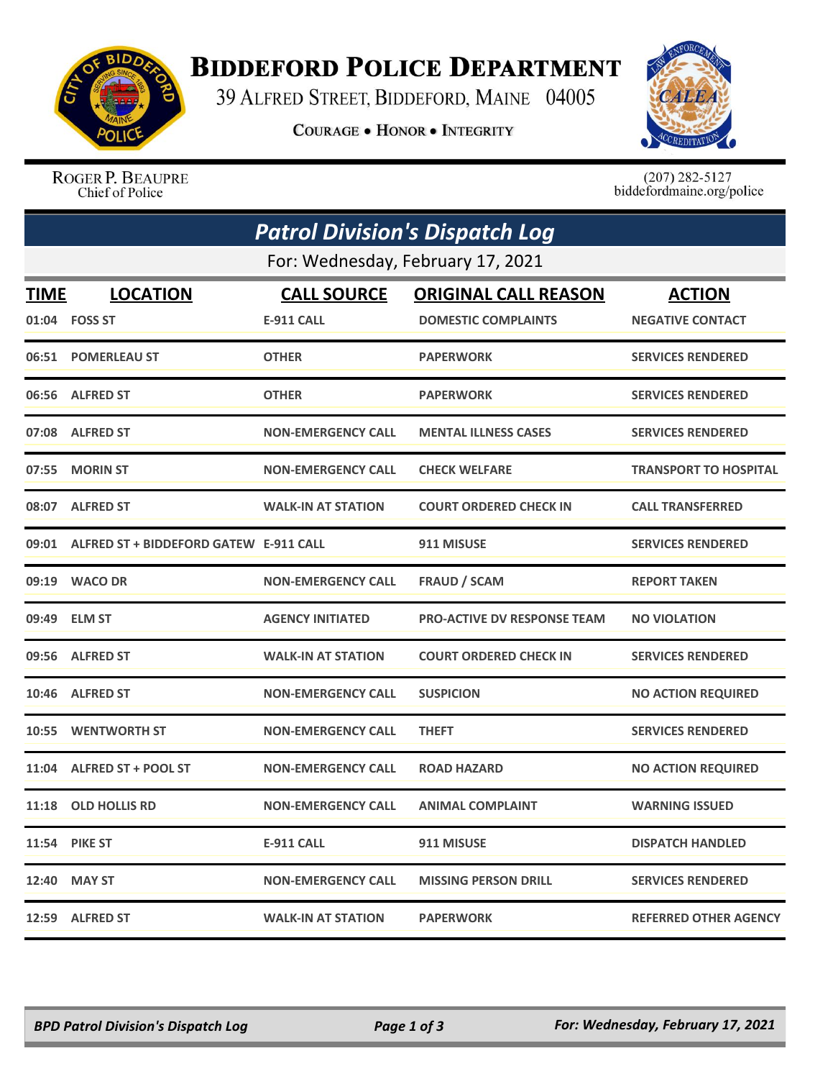

## **BIDDEFORD POLICE DEPARTMENT**

39 ALFRED STREET, BIDDEFORD, MAINE 04005

COURAGE . HONOR . INTEGRITY



ROGER P. BEAUPRE Chief of Police

 $(207)$  282-5127<br>biddefordmaine.org/police

| <b>Patrol Division's Dispatch Log</b> |                                        |                           |                                    |                              |  |  |
|---------------------------------------|----------------------------------------|---------------------------|------------------------------------|------------------------------|--|--|
| For: Wednesday, February 17, 2021     |                                        |                           |                                    |                              |  |  |
| <b>TIME</b>                           | <b>LOCATION</b>                        | <b>CALL SOURCE</b>        | <b>ORIGINAL CALL REASON</b>        | <b>ACTION</b>                |  |  |
|                                       | 01:04    FOSS ST                       | <b>E-911 CALL</b>         | <b>DOMESTIC COMPLAINTS</b>         | <b>NEGATIVE CONTACT</b>      |  |  |
|                                       | 06:51 POMERLEAU ST                     | <b>OTHER</b>              | <b>PAPERWORK</b>                   | <b>SERVICES RENDERED</b>     |  |  |
| 06:56                                 | <b>ALFRED ST</b>                       | <b>OTHER</b>              | <b>PAPERWORK</b>                   | <b>SERVICES RENDERED</b>     |  |  |
|                                       | 07:08 ALFRED ST                        | <b>NON-EMERGENCY CALL</b> | <b>MENTAL ILLNESS CASES</b>        | <b>SERVICES RENDERED</b>     |  |  |
| 07:55                                 | <b>MORIN ST</b>                        | <b>NON-EMERGENCY CALL</b> | <b>CHECK WELFARE</b>               | <b>TRANSPORT TO HOSPITAL</b> |  |  |
|                                       | 08:07 ALFRED ST                        | <b>WALK-IN AT STATION</b> | <b>COURT ORDERED CHECK IN</b>      | <b>CALL TRANSFERRED</b>      |  |  |
| 09:01                                 | ALFRED ST + BIDDEFORD GATEW E-911 CALL |                           | 911 MISUSE                         | <b>SERVICES RENDERED</b>     |  |  |
|                                       | 09:19 WACO DR                          | <b>NON-EMERGENCY CALL</b> | <b>FRAUD / SCAM</b>                | <b>REPORT TAKEN</b>          |  |  |
|                                       | 09:49 ELM ST                           | <b>AGENCY INITIATED</b>   | <b>PRO-ACTIVE DV RESPONSE TEAM</b> | <b>NO VIOLATION</b>          |  |  |
| 09:56                                 | <b>ALFRED ST</b>                       | <b>WALK-IN AT STATION</b> | <b>COURT ORDERED CHECK IN</b>      | <b>SERVICES RENDERED</b>     |  |  |
|                                       | 10:46 ALFRED ST                        | <b>NON-EMERGENCY CALL</b> | <b>SUSPICION</b>                   | <b>NO ACTION REQUIRED</b>    |  |  |
| 10:55                                 | <b>WENTWORTH ST</b>                    | <b>NON-EMERGENCY CALL</b> | <b>THEFT</b>                       | <b>SERVICES RENDERED</b>     |  |  |
| 11:04                                 | <b>ALFRED ST + POOL ST</b>             | <b>NON-EMERGENCY CALL</b> | <b>ROAD HAZARD</b>                 | <b>NO ACTION REQUIRED</b>    |  |  |
| 11:18                                 | <b>OLD HOLLIS RD</b>                   | <b>NON-EMERGENCY CALL</b> | <b>ANIMAL COMPLAINT</b>            | <b>WARNING ISSUED</b>        |  |  |
|                                       | <b>11:54 PIKE ST</b>                   | E-911 CALL                | 911 MISUSE                         | <b>DISPATCH HANDLED</b>      |  |  |
|                                       | 12:40 MAY ST                           | <b>NON-EMERGENCY CALL</b> | <b>MISSING PERSON DRILL</b>        | <b>SERVICES RENDERED</b>     |  |  |
|                                       | 12:59 ALFRED ST                        | <b>WALK-IN AT STATION</b> | <b>PAPERWORK</b>                   | <b>REFERRED OTHER AGENCY</b> |  |  |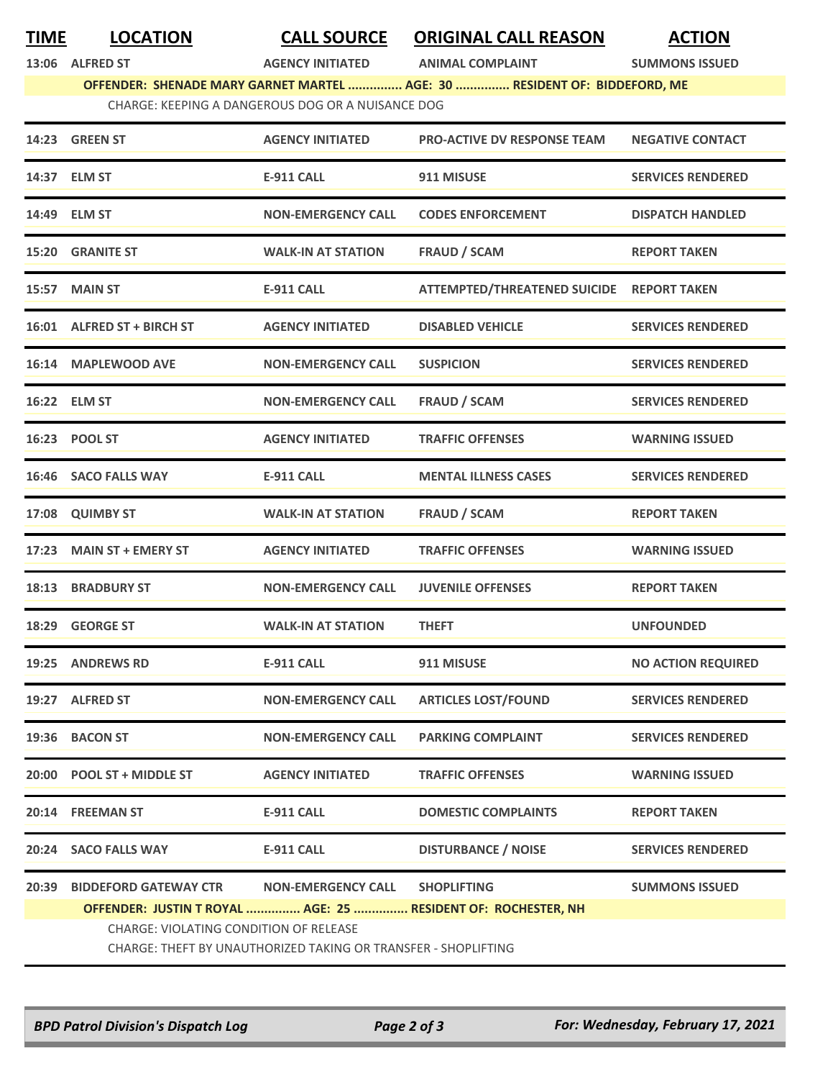## **TIME LOCATION CALL SOURCE ORIGINAL CALL REASON ACTION**

**13:06 ALFRED ST AGENCY INITIATED ANIMAL COMPLAINT SUMMONS ISSUED**

**OFFENDER: SHENADE MARY GARNET MARTEL ............... AGE: 30 ............... RESIDENT OF: BIDDEFORD, ME**

|                                                   | <u>UTTEINDEN. SHEINADE MIANT UANINET MIANTEL  AUE. 30  NESIDEINT UT. DIDDETUND, ME</u> |
|---------------------------------------------------|----------------------------------------------------------------------------------------|
| CHARGE: KEEPING A DANGEROUS DOG OR A NUISANCE DOG |                                                                                        |

|       | 14:23 GREEN ST                                                         | <b>AGENCY INITIATED</b>                                                                     | <b>PRO-ACTIVE DV RESPONSE TEAM</b>                                                  | <b>NEGATIVE CONTACT</b>   |
|-------|------------------------------------------------------------------------|---------------------------------------------------------------------------------------------|-------------------------------------------------------------------------------------|---------------------------|
|       | 14:37 ELM ST                                                           | <b>E-911 CALL</b>                                                                           | 911 MISUSE                                                                          | <b>SERVICES RENDERED</b>  |
|       | 14:49 ELM ST                                                           | <b>NON-EMERGENCY CALL</b>                                                                   | <b>CODES ENFORCEMENT</b>                                                            | <b>DISPATCH HANDLED</b>   |
|       | <b>15:20 GRANITE ST</b>                                                | <b>WALK-IN AT STATION</b>                                                                   | <b>FRAUD / SCAM</b>                                                                 | <b>REPORT TAKEN</b>       |
|       | 15:57 MAIN ST                                                          | <b>E-911 CALL</b>                                                                           | <b>ATTEMPTED/THREATENED SUICIDE</b>                                                 | <b>REPORT TAKEN</b>       |
|       | 16:01 ALFRED ST + BIRCH ST                                             | <b>AGENCY INITIATED</b>                                                                     | <b>DISABLED VEHICLE</b>                                                             | <b>SERVICES RENDERED</b>  |
|       | 16:14 MAPLEWOOD AVE                                                    | <b>NON-EMERGENCY CALL</b>                                                                   | <b>SUSPICION</b>                                                                    | <b>SERVICES RENDERED</b>  |
|       | 16:22 ELM ST                                                           | <b>NON-EMERGENCY CALL</b>                                                                   | <b>FRAUD / SCAM</b>                                                                 | <b>SERVICES RENDERED</b>  |
|       | 16:23 POOL ST                                                          | <b>AGENCY INITIATED</b>                                                                     | <b>TRAFFIC OFFENSES</b>                                                             | <b>WARNING ISSUED</b>     |
|       | 16:46 SACO FALLS WAY                                                   | <b>E-911 CALL</b>                                                                           | <b>MENTAL ILLNESS CASES</b>                                                         | <b>SERVICES RENDERED</b>  |
|       | 17:08 QUIMBY ST                                                        | <b>WALK-IN AT STATION</b>                                                                   | <b>FRAUD / SCAM</b>                                                                 | <b>REPORT TAKEN</b>       |
|       | 17:23 MAIN ST + EMERY ST                                               | <b>AGENCY INITIATED</b>                                                                     | <b>TRAFFIC OFFENSES</b>                                                             | <b>WARNING ISSUED</b>     |
|       | 18:13 BRADBURY ST                                                      | <b>NON-EMERGENCY CALL</b>                                                                   | <b>JUVENILE OFFENSES</b>                                                            | <b>REPORT TAKEN</b>       |
|       | 18:29 GEORGE ST                                                        | <b>WALK-IN AT STATION</b>                                                                   | <b>THEFT</b>                                                                        | <b>UNFOUNDED</b>          |
|       | 19:25 ANDREWS RD                                                       | <b>E-911 CALL</b>                                                                           | 911 MISUSE                                                                          | <b>NO ACTION REQUIRED</b> |
|       | 19:27 ALFRED ST                                                        | <b>NON-EMERGENCY CALL</b>                                                                   | <b>ARTICLES LOST/FOUND</b>                                                          | <b>SERVICES RENDERED</b>  |
|       | 19:36 BACON ST                                                         | NON-EMERGENCY CALL                                                                          | <b>PARKING COMPLAINT</b>                                                            | <b>SERVICES RENDERED</b>  |
|       | 20:00 POOL ST + MIDDLE ST                                              | <b>AGENCY INITIATED</b>                                                                     | <b>TRAFFIC OFFENSES</b>                                                             | <b>WARNING ISSUED</b>     |
|       | 20:14 FREEMAN ST                                                       | <b>E-911 CALL</b>                                                                           | <b>DOMESTIC COMPLAINTS</b>                                                          | <b>REPORT TAKEN</b>       |
|       | 20:24 SACO FALLS WAY                                                   | <b>E-911 CALL</b>                                                                           | <b>DISTURBANCE / NOISE</b>                                                          | <b>SERVICES RENDERED</b>  |
| 20:39 | <b>BIDDEFORD GATEWAY CTR</b><br>CHARGE: VIOLATING CONDITION OF RELEASE | <b>NON-EMERGENCY CALL</b><br>CHARGE: THEFT BY UNAUTHORIZED TAKING OR TRANSFER - SHOPLIFTING | <b>SHOPLIFTING</b><br>OFFENDER: JUSTIN T ROYAL  AGE: 25  RESIDENT OF: ROCHESTER, NH | <b>SUMMONS ISSUED</b>     |